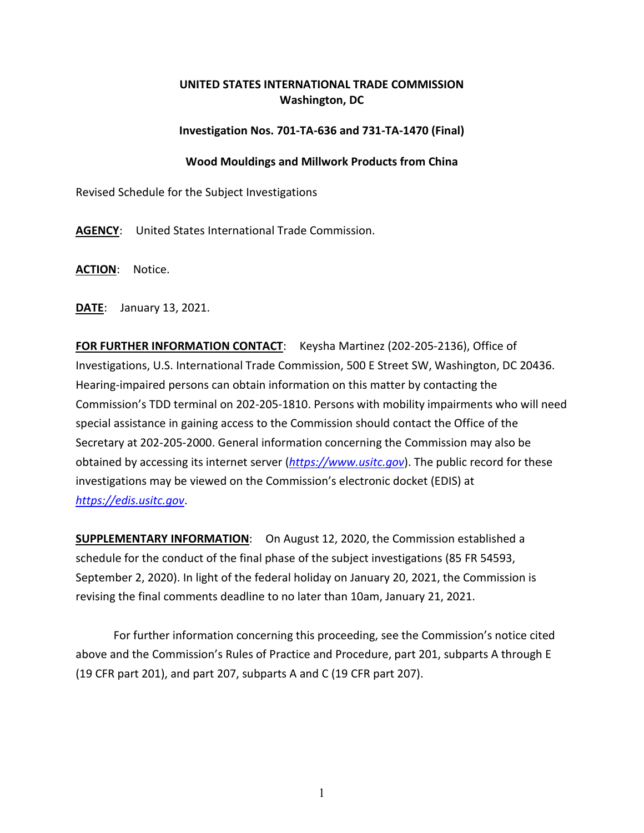## **UNITED STATES INTERNATIONAL TRADE COMMISSION Washington, DC**

## **Investigation Nos. 701-TA-636 and 731-TA-1470 (Final)**

## **Wood Mouldings and Millwork Products from China**

Revised Schedule for the Subject Investigations

**AGENCY**: United States International Trade Commission.

**ACTION**: Notice.

**DATE**: January 13, 2021.

**FOR FURTHER INFORMATION CONTACT:** Keysha Martinez (202-205-2136), Office of Investigations, U.S. International Trade Commission, 500 E Street SW, Washington, DC 20436. Hearing-impaired persons can obtain information on this matter by contacting the Commission's TDD terminal on 202-205-1810. Persons with mobility impairments who will need special assistance in gaining access to the Commission should contact the Office of the Secretary at 202-205-2000. General information concerning the Commission may also be obtained by accessing its internet server (*[https://www.usitc.gov](https://www.usitc.gov/)*). The public record for these investigations may be viewed on the Commission's electronic docket (EDIS) at *[https://edis.usitc.gov](https://edis.usitc.gov/)*.

**SUPPLEMENTARY INFORMATION**: On August 12, 2020, the Commission established a schedule for the conduct of the final phase of the subject investigations (85 FR 54593, September 2, 2020). In light of the federal holiday on January 20, 2021, the Commission is revising the final comments deadline to no later than 10am, January 21, 2021.

For further information concerning this proceeding, see the Commission's notice cited above and the Commission's Rules of Practice and Procedure, part 201, subparts A through E (19 CFR part 201), and part 207, subparts A and C (19 CFR part 207).